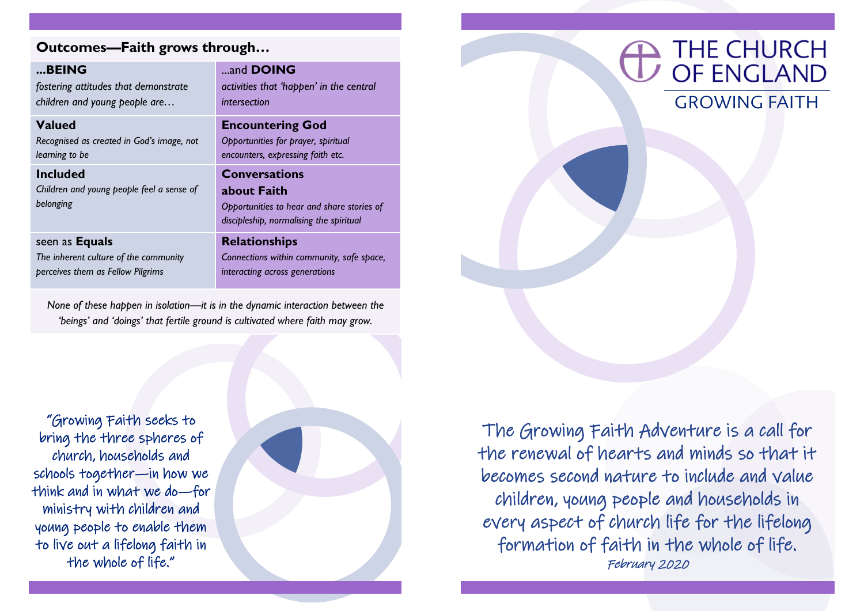## **Outcomes—Faith grows through…**

| BEING                                                                                               | and <b>DOING</b>                                                                                                             |
|-----------------------------------------------------------------------------------------------------|------------------------------------------------------------------------------------------------------------------------------|
| fostering attitudes that demonstrate                                                                | activities that 'happen' in the central                                                                                      |
| children and young people are                                                                       | intersection                                                                                                                 |
| <b>Valued</b>                                                                                       | <b>Encountering God</b>                                                                                                      |
| Recognised as created in God's image, not                                                           | Opportunities for prayer, spiritual                                                                                          |
| learning to be                                                                                      | encounters, expressing faith etc.                                                                                            |
| <b>Included</b><br>Children and young people feel a sense of<br>belonging                           | <b>Conversations</b><br>about Faith<br>Opportunities to hear and share stories of<br>discipleship, normalising the spiritual |
| seen as <b>Equals</b><br>The inherent culture of the community<br>perceives them as Fellow Pilgrims | <b>Relationships</b><br>Connections within community, safe space,                                                            |

*None of these happen in isolation—it is in the dynamic interaction between the 'beings' and 'doings' that fertile ground is cultivated where faith may grow.* 

"Growing Faith seeks to bring the three spheres of church, households and schools together—in how we think and in what we do—for ministry with children and young people to enable them to live out a lifelong faith in the whole of life."





The Growing Faith Adventure is a call for the renewal of hearts and minds so that it becomes second nature to include and value children, young people and households in every aspect of church life for the lifelong formation of faith in the whole of life. February 2020